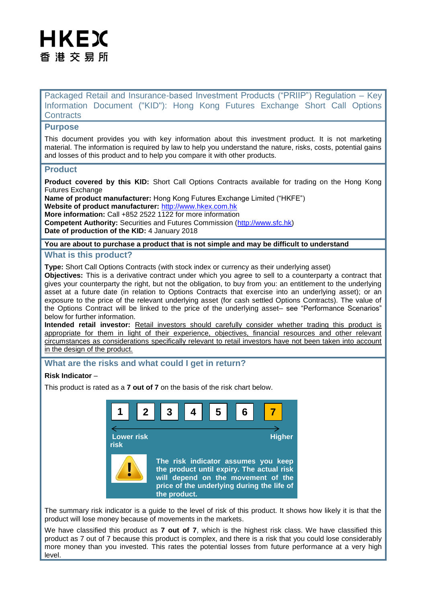# HKEX 香 港 交 易 所

Packaged Retail and Insurance-based Investment Products ("PRIIP") Regulation – Key Information Document ("KID"): Hong Kong Futures Exchange Short Call Options **Contracts** 

### **Purpose**

This document provides you with key information about this investment product. It is not marketing material. The information is required by law to help you understand the nature, risks, costs, potential gains and losses of this product and to help you compare it with other products.

#### **Product**

**Product covered by this KID:** Short Call Options Contracts available for trading on the Hong Kong Futures Exchange

**Name of product manufacturer:** Hong Kong Futures Exchange Limited ("HKFE") **Website of product manufacturer:** [http://www.hkex.com.hk](http://www.hkex.com.hk/) **More information:** Call +852 2522 1122 for more information **Competent Authority:** Securities and Futures Commission [\(http://www.sfc.hk\)](http://www.sfc.hk/)

**Date of production of the KID:** 4 January 2018

# **You are about to purchase a product that is not simple and may be difficult to understand**

#### **What is this product?**

**Type:** Short Call Options Contracts (with stock index or currency as their underlying asset)

**Objectives:** This is a derivative contract under which you agree to sell to a counterparty a contract that gives your counterparty the right, but not the obligation, to buy from you: an entitlement to the underlying asset at a future date (in relation to Options Contracts that exercise into an underlying asset); or an exposure to the price of the relevant underlying asset (for cash settled Options Contracts). The value of the Options Contract will be linked to the price of the underlying asset– see "Performance Scenarios" below for further information.

**Intended retail investor:** Retail investors should carefully consider whether trading this product is appropriate for them in light of their experience, objectives, financial resources and other relevant circumstances as considerations specifically relevant to retail investors have not been taken into account in the design of the product.

# **What are the risks and what could I get in return?**

#### **Risk Indicator** –

This product is rated as a **7 out of 7** on the basis of the risk chart below.



The summary risk indicator is a guide to the level of risk of this product. It shows how likely it is that the product will lose money because of movements in the markets.

We have classified this product as **7 out of 7**, which is the highest risk class. We have classified this product as 7 out of 7 because this product is complex, and there is a risk that you could lose considerably more money than you invested. This rates the potential losses from future performance at a very high level.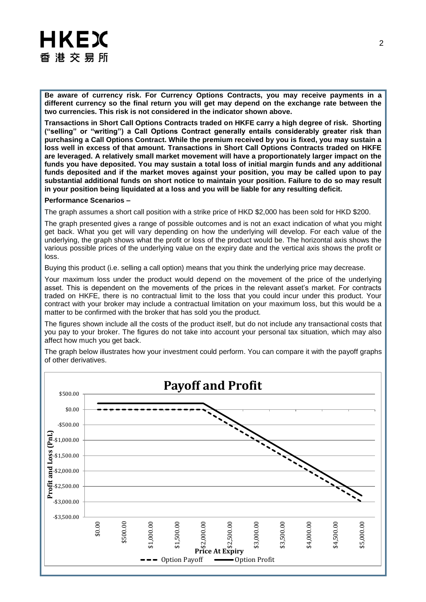# **HKEX** 香 港 交 易 所

**Be aware of currency risk. For Currency Options Contracts, you may receive payments in a different currency so the final return you will get may depend on the exchange rate between the two currencies. This risk is not considered in the indicator shown above.** 

**Transactions in Short Call Options Contracts traded on HKFE carry a high degree of risk. Shorting ("selling" or "writing") a Call Options Contract generally entails considerably greater risk than purchasing a Call Options Contract. While the premium received by you is fixed, you may sustain a loss well in excess of that amount. Transactions in Short Call Options Contracts traded on HKFE are leveraged. A relatively small market movement will have a proportionately larger impact on the funds you have deposited. You may sustain a total loss of initial margin funds and any additional funds deposited and if the market moves against your position, you may be called upon to pay substantial additional funds on short notice to maintain your position. Failure to do so may result in your position being liquidated at a loss and you will be liable for any resulting deficit.** 

#### **Performance Scenarios –**

The graph assumes a short call position with a strike price of HKD \$2,000 has been sold for HKD \$200.

The graph presented gives a range of possible outcomes and is not an exact indication of what you might get back. What you get will vary depending on how the underlying will develop. For each value of the underlying, the graph shows what the profit or loss of the product would be. The horizontal axis shows the various possible prices of the underlying value on the expiry date and the vertical axis shows the profit or loss.

Buying this product (i.e. selling a call option) means that you think the underlying price may decrease.

Your maximum loss under the product would depend on the movement of the price of the underlying asset. This is dependent on the movements of the prices in the relevant asset's market. For contracts traded on HKFE, there is no contractual limit to the loss that you could incur under this product. Your contract with your broker may include a contractual limitation on your maximum loss, but this would be a matter to be confirmed with the broker that has sold you the product.

The figures shown include all the costs of the product itself, but do not include any transactional costs that you pay to your broker. The figures do not take into account your personal tax situation, which may also affect how much you get back.

The graph below illustrates how your investment could perform. You can compare it with the payoff graphs of other derivatives.